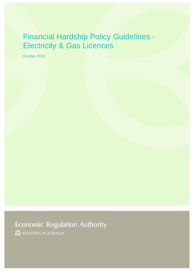# Financial Hardship Policy Guidelines - Electricity & Gas Licences

October 2018

**Economic Regulation Authority** 

WESTERN AUSTRALIA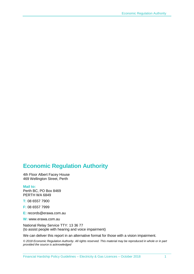# **Economic Regulation Authority**

4th Floor Albert Facey House 469 Wellington Street, Perth

#### **Mail to:**

Perth BC, PO Box 8469 PERTH WA 6849

**T:** 08 6557 7900

**F:** 08 6557 7999

**E:** records@erawa.com.au

**W:** www.erawa.com.au

National Relay Service TTY: 13 36 77 (to assist people with hearing and voice impairment)

We can deliver this report in an alternative format for those with a vision impairment.

*© 2018 Economic Regulation Authority. All rights reserved. This material may be reproduced in whole or in part provided the source is acknowledged*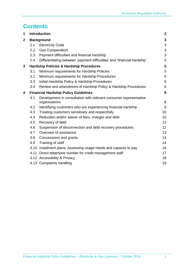# **Contents**

| 1              | <b>Introduction</b> |                                                                                    |                 |  |  |
|----------------|---------------------|------------------------------------------------------------------------------------|-----------------|--|--|
| $\overline{2}$ | <b>Background</b>   |                                                                                    |                 |  |  |
|                | 2.1                 | <b>Electricity Code</b>                                                            | 3               |  |  |
|                | 2.2                 | Gas Compendium                                                                     | 3               |  |  |
|                | 2.3                 | Payment difficulties and financial hardship                                        | 3               |  |  |
|                | 2.4                 | Differentiating between 'payment difficulties' and 'financial hardship'            | 3               |  |  |
| 3              |                     | <b>Hardship Policies &amp; Hardship Procedures</b>                                 | 5               |  |  |
|                | 3.1                 | Minimum requirements for Hardship Policies                                         | 5               |  |  |
|                | 3.2                 | Minimum requirements for Hardship Procedures                                       | 6               |  |  |
|                | 3.3                 | Initial Hardship Policy & Hardship Procedures                                      | 6               |  |  |
|                | 3.4                 | Review and amendment of Hardship Policy & Hardship Procedures                      | 6               |  |  |
| 4              |                     | <b>Financial Hardship Policy Guidelines</b>                                        | 8               |  |  |
|                | 4.1                 | Development in consultation with relevant consumer representative<br>organisations | 8               |  |  |
|                | 4.2                 | Identifying customers who are experiencing financial hardship                      | 9               |  |  |
|                | 4.3                 | Treating customers sensitively and respectfully                                    | 10              |  |  |
|                | 4.4                 | Reduction and/or waiver of fees, charges and debt                                  | 10              |  |  |
|                | 4.5                 | Recovery of debt                                                                   | 12              |  |  |
|                | 4.6                 | Suspension of disconnection and debt recovery procedures                           | 12 <sub>2</sub> |  |  |
|                | 4.7                 | Overview of assistance                                                             | 13              |  |  |
|                | 4.8                 | Concessions and grants                                                             | 14              |  |  |
|                | 4.9                 | Training of staff                                                                  | 14              |  |  |
|                | 4.10                | Instalment plans: Assessing usage needs and capacity to pay                        | 16              |  |  |
|                | 4.11                | Direct telephone number for credit management staff                                | 17              |  |  |
|                |                     | 4.12 Accessibility & Privacy                                                       | 18              |  |  |
|                |                     | 4.13 Complaints handling                                                           | 19              |  |  |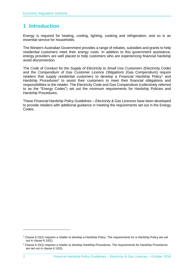# <span id="page-3-0"></span>**1 Introduction**

Energy is required for heating, cooling, lighting, cooking and refrigeration, and so is an essential service for households.

The Western Australian Government provides a range of rebates, subsidies and grants to help residential customers meet their energy costs. In addition to this government assistance, energy providers are well placed to help customers who are experiencing financial hardship avoid disconnection.

The *Code of Conduct for the Supply of Electricity to Small Use Customers* (Electricity Code) and the *Compendium of Gas Customer Licence Obligations* (Gas Compendium) require retailers that supply residential customers to develop a Financial Hardship Policy<sup>1</sup> and Hardship Procedures<sup>2</sup> to assist their customers to meet their financial obligations and responsibilities to the retailer. The Electricity Code and Gas Compendium (collectively referred to as the "Energy Codes") set out the minimum requirements for Hardship Policies and Hardship Procedures.

These *Financial Hardship Policy Guidelines – Electricity & Gas Licences* have been developed to provide retailers with additional guidance in meeting the requirements set out in the Energy Codes.

<sup>1</sup> Clause 6.10(1) requires a retailer to develop a Hardship Policy. The requirements for a Hardship Policy are set out in clause 6.10(2).

 $2$  Clause 6.10(1) requires a retailer to develop Hardship Procedures. The requirements for Hardship Procedures are set out in clause 6.10(3).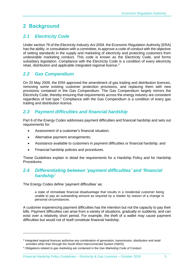# <span id="page-4-0"></span>**2 Background**

# <span id="page-4-1"></span>*2.1 Electricity Code*

Under section 79 of the *Electricity Industry Act 2004,* the Economic Regulation Authority (ERA) has the ability, in consultation with a committee, to approve a code of conduct with the objective of setting standards in the supply and marketing of electricity and protecting customers from undesirable marketing conduct. This code is known as the Electricity Code, and forms subsidiary legislation. Compliance with the Electricity Code is a condition of every electricity retail, distribution and applicable integrated regional licence.<sup>3</sup>

# <span id="page-4-2"></span>*2.2 Gas Compendium*

On 20 May 2009, the ERA approved the amendment of gas trading and distribution licences, removing some existing customer protection provisions, and replacing them with new provisions contained in the Gas Compendium. The Gas Compendium largely mirrors the Electricity Code, thereby ensuring that requirements across the energy industry are consistent regardless of fuel type.<sup>4</sup> Compliance with the Gas Compendium is a condition of every gas trading and distribution licence.

# <span id="page-4-3"></span>*2.3 Payment difficulties and financial hardship*

Part 6 of the Energy Codes addresses payment difficulties and financial hardship and sets out requirements for:

- Assessment of a customer's financial situation;
- Alternative payment arrangements;
- Assistance available to customers in payment difficulties or financial hardship; and
- Financial hardship policies and procedures.

These Guidelines explain in detail the requirements for a Hardship Policy and for Hardship Procedures.

# <span id="page-4-4"></span>*2.4 Differentiating between 'payment difficulties' and 'financial hardship'*

The Energy Codes define 'payment difficulties' as:

 $\overline{a}$ 

a state of immediate financial disadvantage that results in a residential customer being unable to pay an outstanding amount as required by a retailer by reason of a change in personal circumstances.

A customer experiencing payment difficulties has the intention but not the capacity to pay their bills. Payment difficulties can arise from a variety of situations, gradually or suddenly, and can exist over a relatively short period. For example, the theft of a wallet may cause payment difficulties but would not of itself constitute financial hardship.

<sup>&</sup>lt;sup>3</sup> Integrated regional licences authorise any combination of generation, transmission, distribution and retail activities other than through the South West Interconnected System (SWIS).

<sup>4</sup> Obligations related to gas marketing are contained in the *Gas Marketing Code of Conduct*.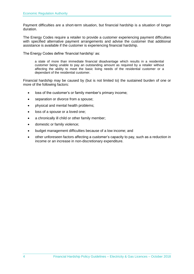Payment difficulties are a short-term situation, but financial hardship is a situation of longer duration.

The Energy Codes require a retailer to provide a customer experiencing payment difficulties with specified alternative payment arrangements and advise the customer that additional assistance is available if the customer is experiencing financial hardship.

The Energy Codes define 'financial hardship' as:

a state of more than immediate financial disadvantage which results in a residential customer being unable to pay an outstanding amount as required by a retailer without affecting the ability to meet the basic living needs of the residential customer or a dependant of the residential customer.

Financial hardship may be caused by (but is not limited to) the sustained burden of one or more of the following factors:

- loss of the customer's or family member's primary income;
- separation or divorce from a spouse;
- physical and mental health problems;
- loss of a spouse or a loved one;
- a chronically ill child or other family member;
- domestic or family violence;
- budget management difficulties because of a low income; and
- other unforeseen factors affecting a customer's capacity to pay, such as a reduction in income or an increase in non-discretionary expenditure.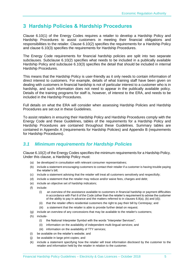# <span id="page-6-0"></span>**3 Hardship Policies & Hardship Procedures**

Clause 6.10(1) of the Energy Codes requires a retailer to develop a Hardship Policy and Hardship Procedures to assist customers in meeting their financial obligations and responsibilities to the retailer. Clause 6.10(2) specifies the requirements for a Hardship Policy and clause 6.10(3) specifies the requirements for Hardship Procedures.

The Energy Code requirements for financial hardship policies are split into two separate subclauses. Subclause 6.10(2) specifies what needs to be included in a publically available Hardship Policy and subclause 6.10(3) specifies the detail that should be included in internal Hardship Procedures.

This means that the Hardship Policy is user-friendly as it only needs to contain information of direct interest to customers. For example, details of what training staff have been given on dealing with customers in financial hardship is not of particular interest to a customer who is in hardship, and such information does not need to appear in the publically available policy. Details of the training programs for staff is, however, of interest to the ERA, and needs to be included in the Hardship Procedures.

Full details on what the ERA will consider when assessing Hardship Policies and Hardship Procedures are set out in these Guidelines.

To assist retailers in ensuring their Hardship Policy and Hardship Procedures comply with the Energy Code and these Guidelines, tables of the requirements for a Hardship Policy and Hardship Procedures are contained throughout these Guidelines. Summary tables are contained in Appendix A (requirements for Hardship Policies) and Appendix B (requirements for Hardship Procedures).

# <span id="page-6-1"></span>*3.1 Minimum requirements for Hardship Policies*

Clause 6.10(2) of the Energy Codes specifies the minimum requirements for a Hardship Policy. Under this clause, a Hardship Policy must:

- (a) be developed in consultation with relevant consumer representatives;
- (b) include a statement encouraging customers to contact their retailer if a customer is having trouble paying the retailer's bill;
- (c) include a statement advising that the retailer will treat all customers sensitively and respectfully;
- (d) include a statement that the retailer may reduce and/or waive fees, charges and debt;
- (e) include an objective set of hardship indicators;
- (f) include:
	- (i) an overview of the assistance available to customers in financial hardship or payment difficulties in accordance with Part 6 of the Code (other than the retailer's requirement to advise the customer of the ability to pay in advance and the matters referred to in clauses  $6.8(a)$ , (b) and (d));
	- (ii) that the retailer offers residential customers the right to pay their bill by Centrepay; and
	- (iii) a statement that the retailer is able to provide further detail on request.
- (g) include an overview of any concessions that may be available to the retailer's customers;
- (h) include-
	- (i) the National Interpreter Symbol with the words "Interpreter Services";
	- (ii) information on the availability of independent multi-lingual services; and
	- (iii) information on the availability of TTY services;
- (i) be available on the retailer's website; and
- (j) be available in large print copies; and
- (k) include a statement specifying how the retailer will treat information disclosed by the customer to the retailer and information held by the retailer in relation to the customer.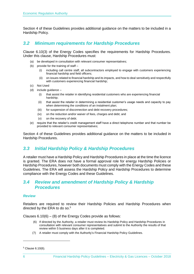Section 4 of these Guidelines provides additional guidance on the matters to be included in a Hardship Policy.

# <span id="page-7-0"></span>*3.2 Minimum requirements for Hardship Procedures*

Clause 6.10(3) of the Energy Codes specifies the requirements for Hardship Procedures. Under this clause, Hardship Procedures must:

- (a) be developed in consultation with relevant consumer representatives;
- (b) provide for the training of staff
	- (i) including call centre staff, all subcontractors employed to engage with customers experiencing financial hardship and field officers;
	- (ii) on issues related to financial hardship and its impacts, and how to deal sensitively and respectfully with customers experiencing financial hardship;
- (c) Not Used
- (d) include guidance
	- (i) that assist the retailer in identifying residential customers who are experiencing financial hardship;
	- (ii) that assist the retailer in determining a residential customer's usage needs and capacity to pay when determining the conditions of an instalment plan;
	- (iii) for suspension of disconnection and debt recovery procedures;
	- (iv) on the reduction and/or waiver of fees, charges and debt; and
	- (v) on the recovery of debt.
- (e) require that the retailer's credit management staff have a direct telephone number and that number be provided to relevant consumer representatives;

Section 4 of these Guidelines provides additional guidance on the matters to be included in Hardship Procedures.

# <span id="page-7-1"></span>*3.3 Initial Hardship Policy & Hardship Procedures*

A retailer must have a Hardship Policy and Hardship Procedures in place at the time the licence is granted. The ERA does not have a formal approval role for energy Hardship Policies or Hardship Procedures, however both documents must comply with the Energy Codes and these Guidelines. The ERA will assess the Hardship Policy and Hardship Procedures to determine compliance with the Energy Codes and these Guidelines.

# <span id="page-7-2"></span>*3.4 Review and amendment of Hardship Policy & Hardship Procedures*

#### *Review*

Retailers are required to review their Hardship Policies and Hardship Procedures when directed by the ERA to do so. 5

Clauses 6.10(6) – (8) of the Energy Codes provide as follows:

- (6) If directed by the Authority, a retailer must review its Hardship Policy and Hardship Procedures in consultation with relevant consumer representatives and submit to the Authority the results of that review within 5 business days after it is completed.
- (7) A retailer must comply with the Authority's Financial Hardship Policy Guidelines.

<sup>5</sup> Clause 6.10(6).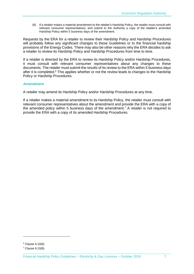(8) If a retailer makes a material amendment to the retailer's Hardship Policy, the retailer must consult with relevant consumer representatives, and submit to the Authority a copy of the retailer's amended Hardship Policy within 5 business days of the amendment.

Requests by the ERA for a retailer to review their Hardship Policy and Hardship Procedures will probably follow any significant changes to these Guidelines or to the financial hardship provisions of the Energy Codes. There may also be other reasons why the ERA decides to ask a retailer to review its Hardship Policy and Hardship Procedures from time to time.

If a retailer is directed by the ERA to review its Hardship Policy and/or Hardship Procedures, it must consult with relevant consumer representatives about any changes to these documents. The retailer must submit the results of its review to the ERA within 5 business days after it is completed.<sup>6</sup> This applies whether or not the review leads to changes to the Hardship Policy or Hardship Procedures.

#### *Amendment*

A retailer may amend its Hardship Policy and/or Hardship Procedures at any time.

If a retailer makes a material amendment to its Hardship Policy, the retailer must consult with relevant consumer representatives about the amendment and provide the ERA with a copy of the amended policy within 5 business days of the amendment.<sup>7</sup> A retailer is not required to provide the ERA with a copy of its amended Hardship Procedures.

 $\overline{a}$ 

<sup>6</sup> Clause 6.10(6).

<sup>7</sup> Clause 6.10(8).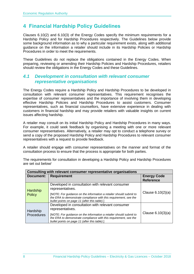# <span id="page-9-0"></span>**4 Financial Hardship Policy Guidelines**

Clauses 6.10(2) and 6.10(3) of the Energy Codes specify the minimum requirements for a Hardship Policy and for Hardship Procedures respectively. The Guidelines below provide some background information as to why a particular requirement exists, along with additional guidance on the information a retailer should include in its Hardship Policies or Hardship Procedures in order to meet the requirements.

These Guidelines do not replace the obligations contained in the Energy Codes. When preparing, reviewing or amending their Hardship Policies and Hardship Procedures, retailers should review the obligations in the Energy Codes and these Guidelines.

# <span id="page-9-1"></span>*4.1 Development in consultation with relevant consumer representative organisations*

The Energy Codes require a Hardship Policy and Hardship Procedures to be developed in consultation with relevant consumer representatives. This requirement recognises the expertise of consumer representatives and the importance of involving them in developing effective Hardship Policies and Hardship Procedures to assist customers. Consumer representatives, such as financial counsellors, have extensive experience in dealing with customers in financial hardship and may provide retailers with valuable insights on current issues affecting hardship.

A retailer may consult on its initial Hardship Policy and Hardship Procedures in many ways. For example, it could seek feedback by organising a meeting with one or more relevant consumer representatives. Alternatively, a retailer may opt to conduct a telephone survey or send a copy of the proposed Hardship Policy and Hardship Procedures to relevant consumer representatives with a request to provide feedback.

A retailer should engage with consumer representatives on the manner and format of the consultation process to ensure that the process is appropriate for both parties.

| The requirements for consultation in developing a Hardship Policy and Hardship Procedures |  |  |  |
|-------------------------------------------------------------------------------------------|--|--|--|
| are set out below/                                                                        |  |  |  |

| Consulting with relevant consumer representative organisations |                                                                                                                                                                                         |                                        |  |  |
|----------------------------------------------------------------|-----------------------------------------------------------------------------------------------------------------------------------------------------------------------------------------|----------------------------------------|--|--|
| Document:                                                      | <b>Requirement</b>                                                                                                                                                                      | <b>Energy Code</b><br><b>Reference</b> |  |  |
| Hardship                                                       | Developed in consultation with relevant consumer<br>representatives.                                                                                                                    |                                        |  |  |
| <b>Policy</b>                                                  | [NOTE: For guidance on the information a retailer should submit to<br>the ERA to demonstrate compliance with this requirement, see the<br>bullet points on page 11 (after this table).] | Clause $6.10(2)(a)$                    |  |  |
|                                                                | Developed in consultation with relevant consumer<br>representatives.                                                                                                                    |                                        |  |  |
| Hardship<br>Procedures                                         | [NOTE: For guidance on the information a retailer should submit to<br>the ERA to demonstrate compliance with this requirement, see the<br>bullet points on page 11 (after this table).] | Clause $6.10(3)(a)$                    |  |  |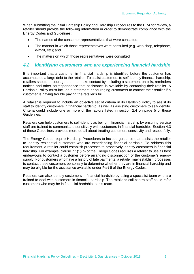When submitting the initial Hardship Policy and Hardship Procedures to the ERA for review, a retailer should provide the following information in order to demonstrate compliance with the Energy Codes and Guidelines:

- The names of the consumer representatives that were consulted;
- The manner in which those representatives were consulted (e.g. workshop, telephone, e-mail, etc); and
- The matters on which those representatives were consulted.

### <span id="page-10-0"></span>*4.2 Identifying customers who are experiencing financial hardship*

It is important that a customer in financial hardship is identified before the customer has accumulated a large debt to the retailer. To assist customers to self-identify financial hardship, retailers should encourage them to make contact by including a statement on bills, reminders notices and other correspondence that assistance is available by contacting their retailer. A Hardship Policy must include a statement encouraging customers to contact their retailer if a customer is having trouble paying the retailer's bill.

A retailer is required to include an objective set of criteria in its Hardship Policy to assist its staff to identify customers in financial hardship, as well as assisting customers to self-identify. Criteria could include one or more of the factors listed in section 2.4 on page 5 of these Guidelines.

Retailers can help customers to self-identify as being in financial hardship by ensuring service staff are trained to communicate sensitively with customers in financial hardship. Section 4.3 of these Guidelines provides more detail about treating customers sensitivity and respectfully.

The Energy Codes require Hardship Procedures to include guidance that assists the retailer to identify residential customers who are experiencing financial hardship. To address this requirement, a retailer could establish processes to proactively identify customers in financial hardship. For example, clause 7.1(1)(b) of the Energy Codes requires a retailer to use its best endeavours to contact a customer before arranging disconnection of the customer's energy supply. For customers who have a history of late payments, a retailer may establish processes to contact these customers personally to determine whether they are in financial hardship and may be eligible for the assistance available under Part 6 of the Energy Codes.

Retailers can also identify customers in financial hardship by using a specialist team who are trained to deal with customers in financial hardship. The retailer's call centre staff could refer customers who may be in financial hardship to this team.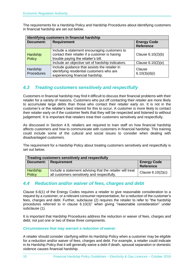The requirements for a Hardship Policy and Hardship Procedures about identifying customers in financial hardship are set out below.

| Identifying customers in financial hardship |                                                                                                                                       |                                        |  |  |
|---------------------------------------------|---------------------------------------------------------------------------------------------------------------------------------------|----------------------------------------|--|--|
| <b>Document:</b>                            | <b>Requirement</b>                                                                                                                    | <b>Energy Code</b><br><b>Reference</b> |  |  |
| Hardship<br>Policy                          | Include a statement encouraging customers to<br>contact their retailer if a customer is having<br>trouble paying the retailer's bill. | Clause 6.10(2)(b)                      |  |  |
|                                             | Include an objective set of hardship indicators.                                                                                      | Clause 6.10(2)(e)                      |  |  |
| Hardship<br>Procedures                      | Include guidance that assists the retailer in<br>identifying residential customers who are<br>experiencing financial hardship.        | Clause<br>6.10(3)(d)(i)                |  |  |

# <span id="page-11-0"></span>*4.3 Treating customers sensitively and respectfully*

Customers in financial hardship may find it difficult to discuss their financial problems with their retailer for a variety of reasons. Customers who put off contacting their retailer are more likely to accumulate large debts than those who contact their retailer early on. It is not in the customer's or the retailer's best interest for this to occur. A customer is more likely to contact their retailer early on if the customer feels that they will be respected and listened to without judgement. It is important that retailers treat their customers sensitively and respectfully.

As discussed in Section 4.9, retailers are required to train staff on how financial hardship affects customers and how to communicate with customers in financial hardship. This training could include some of the cultural and social issues to consider when dealing with disadvantaged customers.

The requirement for a Hardship Policy about treating customers sensitively and respectfully is set out below.

| Treating customers sensitively and respectfully |                                                                                                          |                                        |  |
|-------------------------------------------------|----------------------------------------------------------------------------------------------------------|----------------------------------------|--|
| <b>Document:</b>                                | <b>Requirement</b>                                                                                       | <b>Energy Code</b><br><b>Reference</b> |  |
| <b>Hardship</b><br>Policy                       | Include a statement advising that the retailer will treat<br>all customers sensitively and respectfully. | Clause $6.10(2)(c)$                    |  |

# <span id="page-11-1"></span>*4.4 Reduction and/or waiver of fees, charges and debt*

Clause 6.6(1) of the Energy Codes requires a retailer to give reasonable consideration to a request by a customer, or a relevant consumer representative, for a reduction of the customer's fees, charges and debt. Further, subclause (2) requires the retailer to refer to "the hardship procedures referred to in clause 6.10(3)" when giving "reasonable consideration" under subclause (1).

It is important that Hardship Procedures address the reduction or waiver of fees, charges *and* debt; not just one or two of these three components.

#### *Circumstances that may warrant a reduction of waiver*

A retailer should consider clarifying within its Hardship Policy when a customer may be eligible for a reduction and/or waiver of fees, charges and debt. For example, a retailer could indicate in its Hardship Policy that it will generally waive a debt if death, spousal separation or domestic violence causes financial hardship.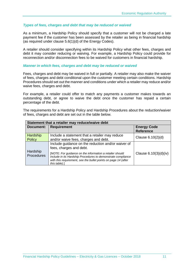#### *Types of fees, charges and debt that may be reduced or waived*

As a minimum, a Hardship Policy should specify that a customer will not be charged a late payment fee if the customer has been assessed by the retailer as being in financial hardship (as required under clause 5.6(1)(d) of the Energy Codes).

A retailer should consider specifying within its Hardship Policy what other fees, charges and debt it may consider reducing or waiving. For example, a Hardship Policy could provide for reconnection and/or disconnection fees to be waived for customers in financial hardship.

#### *Manner in which fees, charges and debt may be reduced or waived*

Fees, charges and debt may be waived in full or partially. A retailer may also make the waiver of fees, charges and debt conditional upon the customer meeting certain conditions. Hardship Procedures should set out the manner and conditions under which a retailer may reduce and/or waive fees, charges and debt.

For example, a retailer could offer to match any payments a customer makes towards an outstanding debt, or agree to waive the debt once the customer has repaid a certain percentage of the debt.

The requirements for a Hardship Policy and Hardship Procedures about the reduction/waiver of fees, charges and debt are set out in the table below.

| Statement that a retailer may reduce/waive debt |                                                                                                                                                                                                             |                                        |  |  |
|-------------------------------------------------|-------------------------------------------------------------------------------------------------------------------------------------------------------------------------------------------------------------|----------------------------------------|--|--|
| <b>Document:</b>                                | <b>Requirement</b>                                                                                                                                                                                          | <b>Energy Code</b><br><b>Reference</b> |  |  |
| Hardship<br><b>Policy</b>                       | Include a statement that a retailer may reduce<br>and/or waive fees, charges and debt.                                                                                                                      | Clause 6.10(2)(d)                      |  |  |
|                                                 | Include guidance on the reduction and/or waiver of<br>fees, charges and debt.                                                                                                                               |                                        |  |  |
| Hardship<br>Procedures                          | [NOTE: For guidance on the information a retailer should<br>include in its Hardship Procedures to demonstrate compliance<br>with this requirement, see the bullet points on page 14 (after<br>this table).] | Clause $6.10(3)(d)(iv)$                |  |  |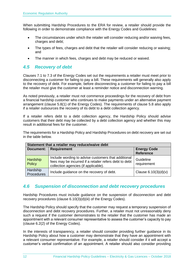When submitting Hardship Procedures to the ERA for review, a retailer should provide the following in order to demonstrate compliance with the Energy Codes and Guidelines:

- The circumstances under which the retailer will consider reducing and/or waiving fees, charges and debt;
- The types of fees, charges and debt that the retailer will consider reducing or waiving; and
- The manner in which fees, charges and debt may be reduced or waived.

# <span id="page-13-0"></span>*4.5 Recovery of debt*

Clauses 7.1 to 7.3 of the Energy Codes set out the requirements a retailer must meet prior to disconnecting a customer for failing to pay a bill. These requirements will generally also apply to the recovery of debt. For example, before disconnecting a customer for failing to pay a bill the retailer must give the customer at least a reminder notice and disconnection warning.

As noted previously, a retailer must not commence proceedings for the recovery of debt from a financial hardship customer who continues to make payments under an alternative payment arrangement (clause 5.8(1) of the Energy Codes). The requirements of clause 5.8 also apply if a retailer outsources the recovery of its debt to a debt collection agency.

If a retailer refers debt to a debt collection agency, the Hardship Policy should advise customers that their debt may be collected by a debt collection agency and whether this may result in additional fees for the customer.

The requirements for a Hardship Policy and Hardship Procedures on debt recovery are set out in the table below.

| Statement that a retailer may reduce/waive debt |                                                                                                                                                       |                                        |  |  |  |
|-------------------------------------------------|-------------------------------------------------------------------------------------------------------------------------------------------------------|----------------------------------------|--|--|--|
| <b>Document:</b>                                | <b>Requirement</b>                                                                                                                                    | <b>Energy Code</b><br><b>Reference</b> |  |  |  |
| Hardship<br>Policy                              | Include wording to advise customers that additional<br>fees may be incurred if a retailer refers debt to debt<br>collection agencies (if applicable). | Guideline<br>requirement               |  |  |  |
| Hardship<br>Procedures                          | Include guidance on the recovery of debt.                                                                                                             | Clause $6.10(3)(d)(v)$                 |  |  |  |

# <span id="page-13-1"></span>*4.6 Suspension of disconnection and debt recovery procedures*

Hardship Procedures must include guidance on the suspension of disconnection and debt recovery procedures (clause 6.10(3)(d)(iii) of the Energy Codes).

The Hardship Policy should specify that the customer may request a temporary suspension of disconnection and debt recovery procedures. Further, a retailer must not unreasonably deny such a request if the customer demonstrates to the retailer that the customer has made an appointment with a relevant consumer representative to assess the customer's capacity to pay (clause 6.2(2) of the Energy Codes).

In the interests of transparency, a retailer should consider providing further guidance in its Hardship Policy about how a customer may demonstrate that they have an appointment with a relevant consumer representative. For example, a retailer should consider if it will accept a customer's verbal confirmation of an appointment. A retailer should also consider providing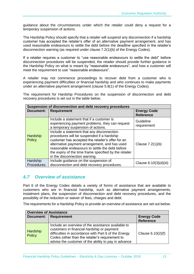guidance about the circumstances under which the retailer could deny a request for a temporary suspension of actions.

The Hardship Policy should specify that a retailer will suspend any disconnection if a hardship customer has accepted the retailer's offer of an alternative payment arrangement, and has used reasonable endeavours to settle the debt before the deadline specified in the retailer's disconnection warning (as required under clause 7.2(1)(b) of the Energy Codes).

If a retailer requires a customer to "use reasonable endeavours to settle the debt" before disconnection procedures will be suspended, the retailer should provide further guidance in the Hardship Policy on what is meant by "reasonable endeavours", and how a customer will meet the requirement to use "reasonable endeavours".

A retailer may not commence proceedings to recover debt from a customer who is experiencing payment difficulties or financial hardship and who continues to make payments under an alternative payment arrangement (clause 5.8(1) of the Energy Codes).

The requirement for Hardship Procedures on the suspension of disconnection and debt recovery procedures is set out in the table below.

| Suspension of disconnection and debt recovery procedures |                                                                                                                                                                                                                                                                                                                                              |                                        |  |  |  |
|----------------------------------------------------------|----------------------------------------------------------------------------------------------------------------------------------------------------------------------------------------------------------------------------------------------------------------------------------------------------------------------------------------------|----------------------------------------|--|--|--|
| <b>Document:</b>                                         | <b>Requirement</b>                                                                                                                                                                                                                                                                                                                           | <b>Energy Code</b><br><b>Reference</b> |  |  |  |
|                                                          | Include a statement that if a customer is<br>experiencing payment problems, they can request<br>a temporary suspension of actions.                                                                                                                                                                                                           | Guideline<br>requirement               |  |  |  |
| Hardship<br><b>Policy</b>                                | Include a statement that any disconnection<br>procedures will be suspended if a hardship<br>customer has accepted the retailer's offer for an<br>alternative payment arrangement, and has used<br>reasonable endeavours to settle the debt before<br>the expiry of the time frame specified by the retailer<br>in the disconnection warning. | Clause $7.2(1)(b)$                     |  |  |  |
| Hardship                                                 | Include guidance on the suspension of                                                                                                                                                                                                                                                                                                        | Clause $6.10(3)(d)(iii)$               |  |  |  |
| Procedures                                               | disconnection and debt recovery procedures.                                                                                                                                                                                                                                                                                                  |                                        |  |  |  |

# <span id="page-14-0"></span>*4.7 Overview of assistance*

Part 6 of the Energy Codes details a variety of forms of assistance that are available to customers who are in financial hardship, such as alternative payment arrangements, instalment plans, the suspension of disconnection and debt recovery procedures, and the possibility of the reduction or waiver of fees, charges and debt.

The requirements for a Hardship Policy to provide an overview of assistance are set out below.

| <b>Overview of Assistance</b> |                                                                                                                                                                                                                                                                     |                                        |  |  |  |
|-------------------------------|---------------------------------------------------------------------------------------------------------------------------------------------------------------------------------------------------------------------------------------------------------------------|----------------------------------------|--|--|--|
| Document:                     | <b>Requirement</b>                                                                                                                                                                                                                                                  | <b>Energy Code</b><br><b>Reference</b> |  |  |  |
| Hardship<br><b>Policy</b>     | Include an overview of the assistance available to<br>customers in financial hardship or payment<br>difficulties in accordance with Part 6 of the Energy<br>Codes (other than the retailer's requirement to<br>advise the customer of the ability to pay in advance | Clause $6.10(2)(f)$                    |  |  |  |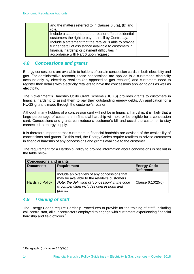| and the matters referred to in clauses $6.8(a)$ , (b) and<br>$(d)$ ).                                           |  |
|-----------------------------------------------------------------------------------------------------------------|--|
| Include a statement that the retailer offers residential<br>customers the right to pay their bill by Centrepay. |  |
| Include a statement that the retailer is able to provide                                                        |  |
| further detail of assistance available to customers in                                                          |  |
| financial hardship or payment difficulties in                                                                   |  |
| accordance with Part 6 upon request.                                                                            |  |

# <span id="page-15-0"></span>*4.8 Concessions and grants*

Energy concessions are available to holders of certain concession cards in both electricity and gas. For administrative reasons, these concessions are applied to a customer's electricity account only by electricity retailers (as opposed to gas retailers) and customers need to register their details with electricity retailers to have the concessions applied to gas as well as electricity.

The Government's Hardship Utility Grant Scheme (HUGS) provides grants to customers in financial hardship to assist them to pay their outstanding energy debts. An application for a HUGS grant is made through the customer's retailer.

Although many holders of a concession card will not be in financial hardship, it is likely that a large percentage of customers in financial hardship will hold or be eligible for a concession card. Concessions and grants can reduce a customer's bill and assist the customer to stay connected to energy supply.

It is therefore important that customers in financial hardship are advised of the availability of concessions and grants. To this end, the Energy Codes require retailers to advise customers in financial hardship of any concessions and grants available to the customer.

The requirement for a Hardship Policy to provide information about concessions is set out in the table below.

| <b>Concessions and grants</b> |                                                                                                                                                                                                      |                                        |  |  |
|-------------------------------|------------------------------------------------------------------------------------------------------------------------------------------------------------------------------------------------------|----------------------------------------|--|--|
| Document:                     | <b>Requirement</b>                                                                                                                                                                                   | <b>Energy Code</b><br><b>Reference</b> |  |  |
| <b>Hardship Policy</b>        | Include an overview of any concessions that<br>may be available to the retailer's customers.<br>Note: the definition of 'concession' in the code<br>& compendium includes concessions and<br>grants. | Clause $6.10(2)(q)$                    |  |  |

# <span id="page-15-1"></span>*4.9 Training of staff*

The Energy Codes require Hardship Procedures to provide for the training of staff, including call centre staff, all subcontractors employed to engage with customers experiencing financial hardship and field officers.<sup>8</sup>

<sup>8</sup> Paragraph (i) of clause 6.10(3)(b).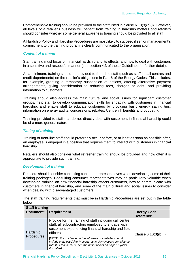Comprehensive training should be provided to the staff listed in clause 6.10(3)(b)(i). However, all levels of a retailer's business will benefit from training in hardship matters and retailers should consider whether some general awareness training should be provided to all staff.

A Hardship Policy and Hardship Procedures are most likely to succeed if senior management's commitment to the training program is clearly communicated to the organisation.

#### *Content of training*

Staff training must focus on financial hardship and its effects, and how to deal with customers in a sensitive and respectful manner (see section 4.3 of these Guidelines for further detail).

As a minimum, training should be provided to front-line staff (such as staff in call centres and credit departments) on the retailer's obligations in Part 6 of the Energy Codes. This includes, for example, granting a temporary suspension of actions, offering alternative payment arrangements, giving consideration to reducing fees, charges or debt, and providing information to customers.

Training should also address the main cultural and social issues for significant customer groups, help staff to develop communication skills for engaging with customers in financial hardship, and enable staff to educate customers by providing basic energy saving tips, information on energy audits, concessions, rebates, Centrelink benefits and budgeting.

Training provided to staff that do not directly deal with customers in financial hardship could be of a more general nature.

#### *Timing of training*

Training of front-line staff should preferably occur before, or at least as soon as possible after, an employee is engaged in a position that requires them to interact with customers in financial hardship.

Retailers should also consider what refresher training should be provided and how often it is appropriate to provide such training.

#### *Development of training*

Retailers should consider consulting consumer representatives when developing some of their training packages. Consulting consumer representatives may be particularly valuable when developing training on how financial hardship affects customers, how to communicate with customers in financial hardship, and some of the main cultural and social issues to consider when dealing with disadvantaged customers.

| <b>Staff training</b>         |                                                                                                                                                                                                                                                                                                                                                                                                 |                                        |  |  |
|-------------------------------|-------------------------------------------------------------------------------------------------------------------------------------------------------------------------------------------------------------------------------------------------------------------------------------------------------------------------------------------------------------------------------------------------|----------------------------------------|--|--|
| Document:                     | <b>Requirement</b>                                                                                                                                                                                                                                                                                                                                                                              | <b>Energy Code</b><br><b>Reference</b> |  |  |
| Hardship<br><b>Procedures</b> | Provide for the training of staff including call centre<br>staff, all subcontractors employed to engage with<br>customers experiencing financial hardship and field<br>officers.<br>[NOTE: For guidance on the information a retailer should<br>include in its Hardship Procedures to demonstrate compliance<br>with this requirement, see the bullet points on page 18 (after<br>this table).] | Clause $6.10(3)(b)(i)$                 |  |  |

The staff training requirements that must be in Hardship Procedures are set out in the table below.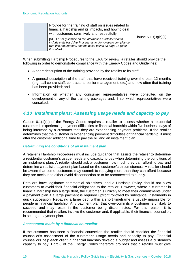| Provide for the training of staff on issues related to<br>financial hardship and its impacts, and how to deal<br>with customers sensitively and respectfully.<br>[NOTE: For guidance on the information a retailer should<br>include in its Hardship Procedures to demonstrate compliance<br>with this requirement, see the bullet points on page 18 (after | Clause $6.10(3)(b)(ii)$ |
|-------------------------------------------------------------------------------------------------------------------------------------------------------------------------------------------------------------------------------------------------------------------------------------------------------------------------------------------------------------|-------------------------|
| this table).]                                                                                                                                                                                                                                                                                                                                               |                         |

When submitting Hardship Procedures to the ERA for review, a retailer should provide the following in order to demonstrate compliance with the Energy Codes and Guidelines:

- A short description of the training provided by the retailer to its staff;
- A general description of the staff that have received training over the past 12 months (e.g. call centre staff, contractors, senior management, etc.) and how often that training has been provided; and
- Information on whether any consumer representatives were consulted on the development of any of the training packages and, if so, which representatives were consulted.

# <span id="page-17-0"></span>*4.10 Instalment plans: Assessing usage needs and capacity to pay*

Clause 6.1(1)(a) of the Energy Codes requires a retailer to assess whether a residential customer is experiencing payment difficulties or financial hardship within five business days of being informed by a customer that they are experiencing payment problems. If the retailer determines that the customer is experiencing payment difficulties or financial hardship, it must offer the customer additional time to pay the bill and an instalment plan.

#### *Determining the conditions of an instalment plan*

A retailer's Hardship Procedures must include guidance that assists the retailer to determine a residential customer's usage needs and capacity to pay when determining the conditions of an instalment plan. A retailer should ask a customer how much they can afford to pay and determine a realistic payment plan based on the customer's circumstances. A retailer should be aware that some customers may commit to repaying more than they can afford because they are anxious to either avoid disconnection or to be reconnected to supply.

Retailers have legitimate commercial objectives, and a Hardship Policy should not allow customers to avoid their financial obligations to the retailer. However, where a customer in financial hardship has a large debt, the customer is unlikely to meet their commitments under a payment plan if a large payment is required upfront followed by substantial instalments in quick succession. Repaying a large debt within a short timeframe is usually impossible for people in financial hardship. Any payment plan that over-commits a customer is unlikely to succeed and may result in the customer being disconnected. For this reason, it is recommended that retailers involve the customer and, if applicable, their financial counsellor, in setting a payment plan.

#### *Assessment made by a financial counsellor*

If the customer has seen a financial counsellor, the retailer should consider the financial counsellor's assessment of the customer's usage needs and capacity to pay. Financial counsellors help each client in financial hardship develop a budget and assess a customer's capacity to pay. Part 6 of the Energy Codes therefore provides that a retailer must give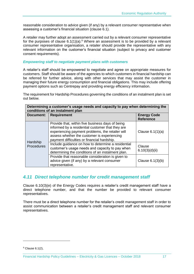reasonable consideration to advice given (if any) by a relevant consumer representative when assessing a customer's financial situation (clause 6.1).

A retailer may further adopt an assessment carried out by a relevant consumer representative for the purposes of clause  $6.1(1)(a)$ .<sup>9</sup> Where an assessment is to be provided by a relevant consumer representative organisation, a retailer should provide the representative with any relevant information on the customer's financial situation (subject to privacy and customer consent requirements).

#### *Empowering staff to negotiate payment plans with customers*

A retailer's staff should be empowered to negotiate and agree on appropriate measures for customers. Staff should be aware of the agencies to which customers in financial hardship can be referred for further advice, along with other services that may assist the customer in managing their future energy consumption and financial obligations. This may include offering payment options such as Centrepay and providing energy efficiency information.

The requirement for Hardship Procedures governing the conditions of an instalment plan is set out below.

| Determining a customer's usage needs and capacity to pay when determining the<br>conditions of an instalment plan |                                                                                                                                                                                                                                                        |                                        |  |  |  |
|-------------------------------------------------------------------------------------------------------------------|--------------------------------------------------------------------------------------------------------------------------------------------------------------------------------------------------------------------------------------------------------|----------------------------------------|--|--|--|
| Document:                                                                                                         | <b>Requirement</b>                                                                                                                                                                                                                                     | <b>Energy Code</b><br><b>Reference</b> |  |  |  |
| Hardship<br><b>Procedures</b>                                                                                     | Provide that, within five business days of being<br>informed by a residential customer that they are<br>experiencing payment problems, the retailer will<br>assess whether the customer is experiencing<br>payment difficulties or financial hardship. | Clause $6.1(1)(a)$                     |  |  |  |
|                                                                                                                   | Include guidance on how to determine a residential<br>customer's usage needs and capacity to pay when<br>determining the conditions of an instalment plan.                                                                                             | Clause<br>6.10(3)(d)(ii)               |  |  |  |
|                                                                                                                   | Provide that reasonable consideration is given to<br>advice given (if any) by a relevant consumer<br>representative.                                                                                                                                   | Clause $6.1(3)(b)$                     |  |  |  |

# <span id="page-18-0"></span>*4.11 Direct telephone number for credit management staff*

Clause 6.10(3)(e) of the Energy Codes requires a retailer's credit management staff have a direct telephone number, and that the number be provided to relevant consumer representatives.

There must be a direct telephone number for the retailer's credit management staff in order to assist communication between a retailer's credit management staff and relevant consumer representatives.

<sup>&</sup>lt;sup>9</sup> Clause 6.1(2),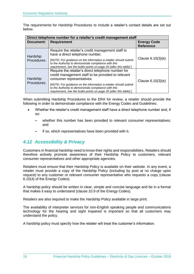The requirements for Hardship Procedures to include a retailer's contact details are set out below.

| Direct telephone number for a retailer's credit management staff |                                                                                                                                                                                               |                                        |  |  |
|------------------------------------------------------------------|-----------------------------------------------------------------------------------------------------------------------------------------------------------------------------------------------|----------------------------------------|--|--|
| Document:                                                        | <b>Requirement</b>                                                                                                                                                                            | <b>Energy Code</b><br><b>Reference</b> |  |  |
| Hardship<br>Procedures                                           | Require the retailer's credit management staff to<br>have a direct telephone number.                                                                                                          | Clause $6.10(3)(e)$                    |  |  |
|                                                                  | [NOTE: For guidance on the information a retailer should submit<br>to the Authority to demonstrate compliance with this<br>requirement, see the bullet points on page 20 (after this table).] |                                        |  |  |
| Hardship<br>Procedures                                           | Require the retailer's direct telephone number for<br>credit management staff to be provided to relevant<br>consumer representatives.                                                         | Clause $6.10(3)(e)$                    |  |  |
|                                                                  | [NOTE: For guidance on the information a retailer should submit<br>to the Authority to demonstrate compliance with this<br>requirement, see the bullet points on page 20 (after this table).] |                                        |  |  |

When submitting Hardship Procedures to the ERA for review, a retailer should provide the following in order to demonstrate compliance with the Energy Codes and Guidelines:

- Whether the retailer's credit management staff have a direct telephone number and, if so:
	- whether this number has been provided to relevant consumer representatives; and
	- if so, which representatives have been provided with it.

# <span id="page-19-0"></span>*4.12 Accessibility & Privacy*

Customers in financial hardship need to know their rights and responsibilities. Retailers should therefore actively promote awareness of their Hardship Policy to customers, relevant consumer representatives and other appropriate agencies.

Retailers must ensure that their Hardship Policy is available on their website. In any event, a retailer must provide a copy of the Hardship Policy (including by post at no charge upon request) to any customer or relevant consumer representative who requests a copy (clause 6.10(4) of the Energy Codes).

A hardship policy should be written in clear, simple and concise language and be in a format that makes it easy to understand (clause 10.9 of the Energy Codes).

Retailers are also required to make the Hardship Policy available in large print.

The availability of interpreter services for non-English speaking people and communications technology for the hearing and sight impaired is important so that all customers may understand the policy.

A hardship policy must specify how the retailer will treat the customer's information.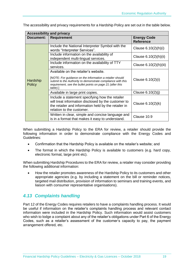The accessibility and privacy requirements for a Hardship Policy are set out in the table below.

| <b>Accessibility and privacy</b> |                                                                                                                                                                                                                                          |                                        |  |  |  |
|----------------------------------|------------------------------------------------------------------------------------------------------------------------------------------------------------------------------------------------------------------------------------------|----------------------------------------|--|--|--|
| Document:                        | Requirement                                                                                                                                                                                                                              | <b>Energy Code</b><br><b>Reference</b> |  |  |  |
|                                  | Include the National Interpreter Symbol with the<br>words "Interpreter Services".                                                                                                                                                        | Clause 6.10(2)(h)(i)                   |  |  |  |
|                                  | Include information on the availability of<br>independent multi-lingual services.                                                                                                                                                        | Clause 6.10(2)(h)(ii)                  |  |  |  |
|                                  | Include information on the availability of TTY<br>services.                                                                                                                                                                              | Clause 6.10(2)(h)(iii)                 |  |  |  |
| Hardship<br><b>Policy</b>        | Available on the retailer's website.<br>[NOTE: For guidance on the information a retailer should<br>submit to the Authority to demonstrate compliance with this<br>requirement, see the bullet points on page 21 (after this<br>table).] | Clause 6.10(2)(i)                      |  |  |  |
|                                  | Available in large print copies.                                                                                                                                                                                                         | Clause $6.10(2)(j)$                    |  |  |  |
|                                  | Include a statement specifying how the retailer<br>will treat information disclosed by the customer to<br>the retailer and information held by the retailer in<br>relation to the customer.                                              | Clause 6.10(2)(k)                      |  |  |  |
|                                  | Written in clear, simple and concise language and<br>is in a format that makes it easy to understand.                                                                                                                                    | Clause 10.9                            |  |  |  |

When submitting a Hardship Policy to the ERA for review, a retailer should provide the following information in order to demonstrate compliance with the Energy Codes and Guidelines:

- Confirmation that the Hardship Policy is available on the retailer's website; and
- The format in which the Hardship Policy is available to customers (e.g. hard copy, electronic format, large print etc).

When submitting Hardship Procedures to the ERA for review, a retailer may consider providing the following additional information:

 How the retailer promotes awareness of the Hardship Policy to its customers and other appropriate agencies (e.g. by including a statement on the bill or reminder notices, targeted mail distribution, provision of information to seminars and training events, and liaison with consumer representative organisations).

# <span id="page-20-0"></span>*4.13 Complaints handling*

Part 12 of the Energy Codes requires retailers to have a complaints handling process. It would be useful if information on the retailer's complaints handling process and relevant contact information were included in the Hardship Policy. Such information would assist customers who wish to lodge a complaint about any of the retailer's obligations under Part 6 of the Energy Codes, such as a retailer's assessment of the customer's capacity to pay, the payment arrangement offered, etc.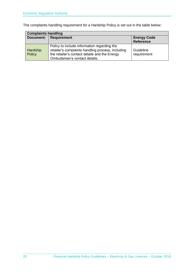The complaints handling requirement for a Hardship Policy is set out in the table below:

| <b>Complaints handling</b> |                                                                                                                                                                                   |                                        |  |  |  |
|----------------------------|-----------------------------------------------------------------------------------------------------------------------------------------------------------------------------------|----------------------------------------|--|--|--|
| <b>Document:</b>           | <b>Requirement</b>                                                                                                                                                                | <b>Energy Code</b><br><b>Reference</b> |  |  |  |
| Hardship<br>Policy         | Policy to include information regarding the<br>retailer's complaints handling process, including<br>the retailer's contact details and the Energy<br>Ombudsman's contact details. | Guideline<br>requirement               |  |  |  |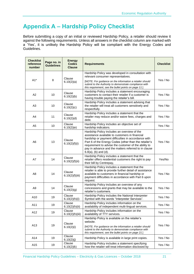# **Appendix A – Hardship Policy Checklist**

Before submitting a copy of an initial or reviewed Hardship Policy, a retailer should review it against the following requirements. Unless all answers in the checklist column are marked with a 'Yes', it is unlikely the Hardship Policy will be compliant with the Energy Codes and Guidelines.

| <b>Checklist</b><br>reference<br>number | Page no. in<br><b>Guidelines</b> | <b>Energy</b><br><b>Codes</b><br><b>Clause</b> | <b>Requirements</b>                                                                                                                                                                                                                                                                                                                                      | <b>Checklist</b> |
|-----------------------------------------|----------------------------------|------------------------------------------------|----------------------------------------------------------------------------------------------------------------------------------------------------------------------------------------------------------------------------------------------------------------------------------------------------------------------------------------------------------|------------------|
|                                         |                                  | Clause                                         | Hardship Policy was developed in consultation with<br>relevant consumer representatives.                                                                                                                                                                                                                                                                 |                  |
| $A1*$                                   | 8                                | 6.10(2)(a)                                     | [NOTE: For guidance on the information a retailer should<br>submit to the Authority to demonstrate compliance with<br>this requirement, see the bullet points on page 11.]                                                                                                                                                                               | Yes / No         |
| A2                                      | 10                               | Clause<br>6.10(2)(b)                           | Hardship Policy includes a statement encouraging<br>customers to contact their retailer if a customer is<br>having trouble paying the retailer's bill.                                                                                                                                                                                                   | Yes / No         |
| A <sub>3</sub>                          | 10                               | Clause<br>6.10(2)(c)                           | Hardship Policy includes a statement advising that<br>the retailer will treat all customers sensitively and<br>respectfully.                                                                                                                                                                                                                             | Yes / No         |
| A4                                      | 11                               | Clause<br>6.10(2)(d)                           | Hardship Policy includes a statement that the<br>retailer may reduce and/or waive fees, charges and<br>debt.                                                                                                                                                                                                                                             | Yes / No         |
| A <sub>5</sub>                          | 10                               | Clause<br>6.10(2)(e)                           | Hardship Policy includes an objective set of<br>hardship indicators.                                                                                                                                                                                                                                                                                     | Yes / No         |
| A6                                      | 13                               | Clause<br>6.10(2)(f)(i)                        | Hardship Policy includes an overview of the<br>assistance available to customers in financial<br>hardship or payment difficulties in accordance with<br>Part 6 of the Energy Codes (other than the retailer's<br>requirement to advise the customer of the ability to<br>pay in advance and the matters referred to in clause<br>$6.8(a)$ , (b) and (d). | Yes / No         |
| A7                                      | 14                               | Clause<br>6.10(2)(f)(ii)                       | Hardship Policy includes a statement that the<br>retailer offers residential customers the right to pay<br>their bill by Centrepay,                                                                                                                                                                                                                      | Yes/No           |
| A8                                      | 14                               | Clause<br>6.10(2)(f)(iii)                      | Hardship Policy includes a statement that the<br>retailer is able to provide further detail of assistance<br>available to customers in financial hardship or<br>payment difficulties in accordance with Part 6 upon<br>request.                                                                                                                          | Yes / No         |
| A <sub>9</sub>                          | 14                               | Clause<br>6.10(2)(g)                           | Hardship Policy includes an overview of any<br>concessions and grants that may be available to the<br>retailer's customers.                                                                                                                                                                                                                              | Yes / No         |
| A10                                     | 19                               | Clause<br>6.10(2)(h)(i)                        | Hardship Policy includes the National Interpreter<br>Symbol with the words "Interpreter Services".                                                                                                                                                                                                                                                       | Yes / No         |
| A11                                     | 19                               | Clause<br>6.10(2)(h)(ii)                       | Hardship Policy includes information on the<br>availability of independent multi-lingual services.                                                                                                                                                                                                                                                       | Yes / No         |
| A12                                     | 19                               | Clause<br>6.10(2)(h)(iii)                      | Hardship Policy includes information on the<br>availability of TTY services.                                                                                                                                                                                                                                                                             | Yes / No         |
| A13                                     | 19                               | Clause<br>6.10(2)(i)                           | Hardship Policy is available on the retailer's<br>website.<br>[NOTE: For guidance on the information a retailer should<br>submit to the Authority to demonstrate compliance with<br>this requirement, see the bullet points on page 21.]                                                                                                                 | Yes / No         |
| A14                                     | 19                               | Clause<br>6.10(2)(j)                           | Hardship Policy is available in large print copies.                                                                                                                                                                                                                                                                                                      | Yes / No         |
| A15                                     | 19                               | Clause<br>6.10(2)(k)                           | Hardship Policy includes a statement specifying<br>how the retailer will treat information disclosed by                                                                                                                                                                                                                                                  | Yes / No         |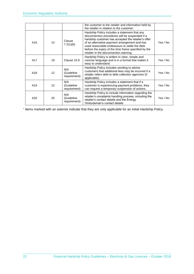|     |                   |                                   | the customer to the retailer and information held by<br>the retailer in relation to the customer.                                                                                                                                                                                                                                                           |          |
|-----|-------------------|-----------------------------------|-------------------------------------------------------------------------------------------------------------------------------------------------------------------------------------------------------------------------------------------------------------------------------------------------------------------------------------------------------------|----------|
| A16 | 13                | Clause<br>7.2(1)(b)               | Hardship Policy includes a statement that any<br>disconnection procedures will be suspended if a<br>hardship customer has accepted the retailer's offer<br>of an alternative payment arrangement and has<br>used reasonable endeavours to settle the debt<br>before the expiry of the time frame specified by the<br>retailer in the disconnection warning. | Yes / No |
| A17 | 19                | Clause 10.9                       | Hardship Policy is written in clear, simple and<br>concise language and is in a format that makes it<br>easy to understand.                                                                                                                                                                                                                                 | Yes / No |
| A18 | $12 \overline{ }$ | N/A<br>(Guideline<br>requirement) | Hardship Policy includes wording to advise<br>customers that additional fees may be incurred if a<br>retailer refers debt to debt collection agencies (if<br>applicable).                                                                                                                                                                                   | Yes / No |
| A19 | 13                | N/A<br>(Guideline<br>requirement) | Hardship Policy includes a statement that if a<br>customer is experiencing payment problems, they<br>can request a temporary suspension of actions.                                                                                                                                                                                                         | Yes / No |
| A20 | 20                | N/A<br>(Guideline<br>requirement) | Hardship Policy to include information regarding the<br>retailer's complaints handling process, including the<br>retailer's contact details and the Energy<br>Ombudsman's contact details.                                                                                                                                                                  | Yes / No |

\* Items marked with an asterisk indicate that they are only applicable for an initial Hardship Policy.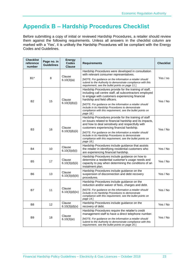# **Appendix B – Hardship Procedures Checklist**

Before submitting a copy of initial or reviewed Hardship Procedures, a retailer should review them against the following requirements. Unless all answers in the checklist column are marked with a 'Yes', it is unlikely the Hardship Procedures will be compliant with the Energy Codes and Guidelines.

| <b>Checklist</b><br>reference<br>number | Page no. in<br><b>Guidelines</b> | Energy<br><b>Codes</b><br><b>Clause</b>                                                                                                                                    | <b>Requirements</b>                                                                                                                                                                                                                                                                    | <b>Checklist</b>                                                                                                                                                                         |
|-----------------------------------------|----------------------------------|----------------------------------------------------------------------------------------------------------------------------------------------------------------------------|----------------------------------------------------------------------------------------------------------------------------------------------------------------------------------------------------------------------------------------------------------------------------------------|------------------------------------------------------------------------------------------------------------------------------------------------------------------------------------------|
|                                         |                                  | Clause                                                                                                                                                                     | Hardship Procedures were developed in consultation<br>with relevant consumer representatives.                                                                                                                                                                                          |                                                                                                                                                                                          |
| $B1*$<br>8                              | 6.10(3)(a)                       | [NOTE: For guidance on the information a retailer should<br>submit to the Authority to demonstrate compliance with this<br>requirement, see the bullet points on page 11.] | Yes / no                                                                                                                                                                                                                                                                               |                                                                                                                                                                                          |
| <b>B2</b>                               |                                  | Clause<br>15<br>6.10(3)(b)(i)                                                                                                                                              | Hardship Procedures provide for the training of staff,<br>including call centre staff, all subcontractors employed<br>to engage with customers experiencing financial<br>hardship and field officers.                                                                                  | Yes / No                                                                                                                                                                                 |
|                                         |                                  |                                                                                                                                                                            | [NOTE: For guidance on the information a retailer should<br>include in its Hardship Procedures to demonstrate<br>compliance with this requirement, see the bullet points on<br>page 18.]                                                                                               |                                                                                                                                                                                          |
| B <sub>3</sub>                          | 16                               | Clause                                                                                                                                                                     | Hardship Procedures provide for the training of staff<br>on issues related to financial hardship and its impacts,<br>and how to deal sensitively and respectfully with<br>customers experiencing financial hardship.                                                                   | Yes / No                                                                                                                                                                                 |
|                                         |                                  | 6.10(3)(b)(ii)                                                                                                                                                             | [NOTE: For quidance on the information a retailer should<br>include in its Hardship Procedures to demonstrate<br>compliance with this requirement, see the bullet points on<br>page 18.                                                                                                |                                                                                                                                                                                          |
| B4                                      | 10                               | Clause<br>6.10(3)(d)(i)                                                                                                                                                    | Hardship Procedures include guidance that assists<br>the retailer in identifying residential customers who<br>are experiencing financial hardship.                                                                                                                                     | Yes / No                                                                                                                                                                                 |
| B <sub>5</sub>                          | 17                               | Clause<br>6.10(3)(d)(ii)                                                                                                                                                   | Hardship Procedures include guidance on how to<br>determine a residential customer's usage needs and<br>capacity to pay when determining the conditions of an<br>instalment plan.                                                                                                      | Yes / No                                                                                                                                                                                 |
| B <sub>6</sub>                          | 13                               | Clause<br>6.10(3)(d)(iii)                                                                                                                                                  | Hardship Procedures include guidance on the<br>suspension of disconnection and debt recovery<br>procedures.                                                                                                                                                                            | Yes / No                                                                                                                                                                                 |
| <b>B7</b>                               | 11                               |                                                                                                                                                                            | Hardship Procedures include guidance on the<br>reduction and/or waiver of fees, charges and debt.                                                                                                                                                                                      |                                                                                                                                                                                          |
|                                         |                                  |                                                                                                                                                                            | Clause<br>6.10(3)(d)(iv)                                                                                                                                                                                                                                                               | [NOTE: For guidance on the information a retailer should<br>include in its Hardship Procedures to demonstrate<br>compliance with this requirement, see the bullet points on<br>page 14.] |
| B8                                      | 12                               | Clause<br>6.10(3)(d)(v)                                                                                                                                                    | Hardship Procedures include guidance on the<br>recovery of debt.                                                                                                                                                                                                                       | Yes / No                                                                                                                                                                                 |
| B <sub>9</sub>                          | 18                               | Clause<br>6.10(3)(e)                                                                                                                                                       | Hardship Procedures require the retailer's credit<br>management staff to have a direct telephone number.<br>[NOTE: For quidance on the information a retailer should<br>submit to the Authority to demonstrate compliance with this<br>requirement, see the bullet points on page 20.] | Yes / No                                                                                                                                                                                 |